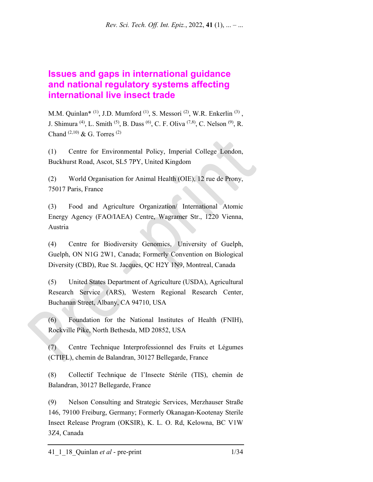*Rev. Sci. Tech. Off. Int. Epiz.*, 2022, **41** (1), ... – ...

# **Issues and gaps in international guidance and national regulatory systems affecting international live insect trade**

M.M. Quinlan\*  $(1)$ , J.D. Mumford  $(1)$ , S. Messori  $(2)$ , W.R. Enkerlin  $(3)$ , J. Shimura <sup>(4)</sup>, L. Smith <sup>(5)</sup>, B. Dass <sup>(6)</sup>, C. F. Oliva <sup>(7,8)</sup>, C. Nelson <sup>(9)</sup>, R. Chand  $^{(2,10)}$  & G. Torres  $^{(2)}$ 

(1) Centre for Environmental Policy, Imperial College London, Buckhurst Road, Ascot, SL5 7PY, United Kingdom

(2) World Organisation for Animal Health (OIE), 12 rue de Prony, 75017 Paris, France

(3) Food and Agriculture Organization/ International Atomic Energy Agency (FAO/IAEA) Centre, Wagramer Str., 1220 Vienna, Austria

(4) Centre for Biodiversity Genomics, University of Guelph, Guelph, ON N1G 2W1, Canada; Formerly Convention on Biological Diversity (CBD), Rue St. Jacques, QC H2Y 1N9, Montreal, Canada

(5) United States Department of Agriculture (USDA), Agricultural Research Service (ARS), Western Regional Research Center, Buchanan Street, Albany, CA 94710, USA

(6) Foundation for the National Institutes of Health (FNIH), Rockville Pike, North Bethesda, MD 20852, USA

(7) Centre Technique Interprofessionnel des Fruits et Légumes (CTIFL), chemin de Balandran, 30127 Bellegarde, France

(8) Collectif Technique de l'Insecte Stérile (TIS), chemin de Balandran, 30127 Bellegarde, France

(9) Nelson Consulting and Strategic Services, Merzhauser Straße 146, 79100 Freiburg, Germany; Formerly Okanagan-Kootenay Sterile Insect Release Program (OKSIR), K. L. O. Rd, Kelowna, BC V1W 3Z4, Canada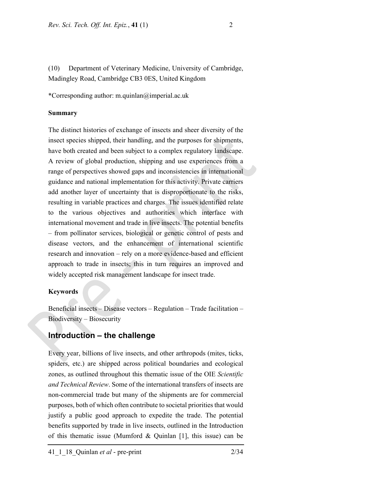(10) Department of Veterinary Medicine, University of Cambridge, Madingley Road, Cambridge CB3 0ES, United Kingdom

\*Corresponding author: m.quinlan@imperial.ac.uk

#### **Summary**

The distinct histories of exchange of insects and sheer diversity of the insect species shipped, their handling, and the purposes for shipments, have both created and been subject to a complex regulatory landscape. A review of global production, shipping and use experiences from a range of perspectives showed gaps and inconsistencies in international guidance and national implementation for this activity. Private carriers add another layer of uncertainty that is disproportionate to the risks, resulting in variable practices and charges. The issues identified relate to the various objectives and authorities which interface with international movement and trade in live insects. The potential benefits – from pollinator services, biological or genetic control of pests and disease vectors, and the enhancement of international scientific research and innovation – rely on a more evidence-based and efficient approach to trade in insects; this in turn requires an improved and widely accepted risk management landscape for insect trade.

#### **Keywords**

Beneficial insects – Disease vectors – Regulation – Trade facilitation – Biodiversity – Biosecurity

# **Introduction – the challenge**

Every year, billions of live insects, and other arthropods (mites, ticks, spiders, etc.) are shipped across political boundaries and ecological zones, as outlined throughout this thematic issue of the OIE *Scientific and Technical Review*. Some of the international transfers of insects are non-commercial trade but many of the shipments are for commercial purposes, both of which often contribute to societal priorities that would justify a public good approach to expedite the trade. The potential benefits supported by trade in live insects, outlined in the Introduction of this thematic issue (Mumford & Quinlan [1], this issue) can be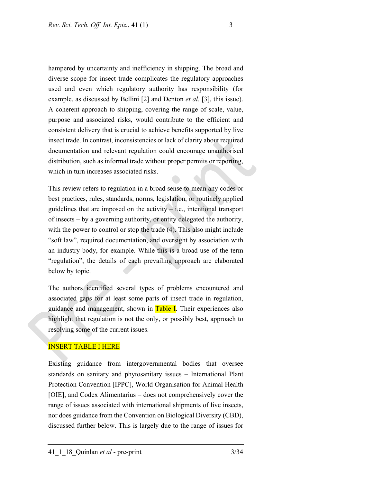hampered by uncertainty and inefficiency in shipping. The broad and diverse scope for insect trade complicates the regulatory approaches used and even which regulatory authority has responsibility (for example, as discussed by Bellini [2] and Denton *et al.* [3], this issue). A coherent approach to shipping, covering the range of scale, value, purpose and associated risks, would contribute to the efficient and consistent delivery that is crucial to achieve benefits supported by live insect trade. In contrast, inconsistencies or lack of clarity about required documentation and relevant regulation could encourage unauthorised distribution, such as informal trade without proper permits or reporting, which in turn increases associated risks.

This review refers to regulation in a broad sense to mean any codes or best practices, rules, standards, norms, legislation, or routinely applied guidelines that are imposed on the activity  $-$  i.e., intentional transport of insects – by a governing authority, or entity delegated the authority, with the power to control or stop the trade (4). This also might include "soft law", required documentation, and oversight by association with an industry body, for example. While this is a broad use of the term "regulation", the details of each prevailing approach are elaborated below by topic.

The authors identified several types of problems encountered and associated gaps for at least some parts of insect trade in regulation, guidance and management, shown in Table I. Their experiences also highlight that regulation is not the only, or possibly best, approach to resolving some of the current issues.

### INSERT TABLE I HERE

Existing guidance from intergovernmental bodies that oversee standards on sanitary and phytosanitary issues – International Plant Protection Convention [IPPC], World Organisation for Animal Health [OIE], and Codex Alimentarius – does not comprehensively cover the range of issues associated with international shipments of live insects, nor does guidance from the Convention on Biological Diversity (CBD), discussed further below. This is largely due to the range of issues for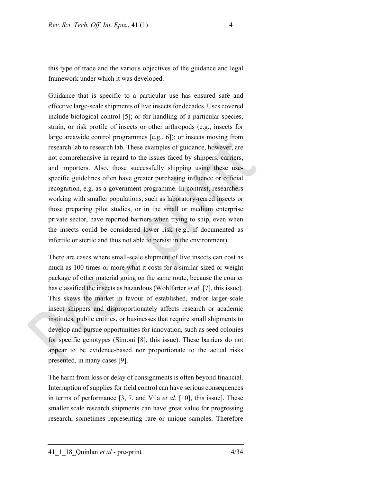this type of trade and the various objectives of the guidance and legal framework under which it was developed.

Guidance that is specific to a particular use has ensured safe and effective large-scale shipments of live insects for decades. Uses covered include biological control [5]; or for handling of a particular species, strain, or risk profile of insects or other arthropods (e.g., insects for large areawide control programmes [e.g., 6]); or insects moving from research lab to research lab. These examples of guidance, however, are not comprehensive in regard to the issues faced by shippers, carriers, and importers. Also, those successfully shipping using these usespecific guidelines often have greater purchasing influence or official recognition, e.g. as a government programme. In contrast, researchers working with smaller populations, such as laboratory-reared insects or those preparing pilot studies, or in the small or medium enterprise private sector, have reported barriers when trying to ship, even when the insects could be considered lower risk (e.g., if documented as infertile or sterile and thus not able to persist in the environment).

There are cases where small-scale shipment of live insects can cost as much as 100 times or more what it costs for a similar-sized or weight package of other material going on the same route, because the courier has classified the insects as hazardous (Wohlfarter *et al.* [7], this issue). This skews the market in favour of established, and/or larger-scale insect shippers and disproportionately affects research or academic institutes, public entities, or businesses that require small shipments to develop and pursue opportunities for innovation, such as seed colonies for specific genotypes (Simoni [8], this issue). These barriers do not appear to be evidence-based nor proportionate to the actual risks presented, in many cases [9].

The harm from loss or delay of consignments is often beyond financial. Interruption of supplies for field control can have serious consequences in terms of performance [3, 7, and Vila *et al*. [10], this issue]. These smaller scale research shipments can have great value for progressing research, sometimes representing rare or unique samples. Therefore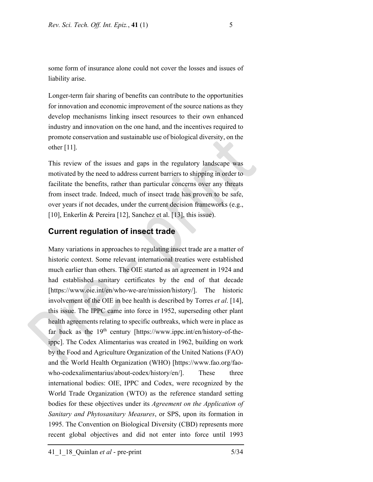some form of insurance alone could not cover the losses and issues of liability arise.

Longer-term fair sharing of benefits can contribute to the opportunities for innovation and economic improvement of the source nations as they develop mechanisms linking insect resources to their own enhanced industry and innovation on the one hand, and the incentives required to promote conservation and sustainable use of biological diversity, on the other [11].

This review of the issues and gaps in the regulatory landscape was motivated by the need to address current barriers to shipping in order to facilitate the benefits, rather than particular concerns over any threats from insect trade. Indeed, much of insect trade has proven to be safe, over years if not decades, under the current decision frameworks (e.g., [10], Enkerlin & Pereira [12], Sanchez et al. [13], this issue).

# **Current regulation of insect trade**

Many variations in approaches to regulating insect trade are a matter of historic context. Some relevant international treaties were established much earlier than others. The OIE started as an agreement in 1924 and had established sanitary certificates by the end of that decade [https://www.oie.int/en/who-we-are/mission/history/]. The historic involvement of the OIE in bee health is described by Torres *et al*. [14], this issue. The IPPC came into force in 1952, superseding other plant health agreements relating to specific outbreaks, which were in place as far back as the 19<sup>th</sup> century [https://www.ippc.int/en/history-of-theippc]. The Codex Alimentarius was created in 1962, building on work by the Food and Agriculture Organization of the United Nations (FAO) and the World Health Organization (WHO) [https://www.fao.org/faowho-codexalimentarius/about-codex/history/en/]. These three international bodies: OIE, IPPC and Codex, were recognized by the World Trade Organization (WTO) as the reference standard setting bodies for these objectives under its *Agreement on the Application of Sanitary and Phytosanitary Measures*, or SPS, upon its formation in 1995. The Convention on Biological Diversity (CBD) represents more recent global objectives and did not enter into force until 1993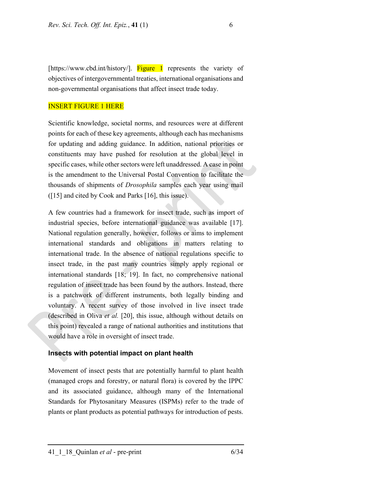[https://www.cbd.int/history/]. **Figure 1** represents the variety of objectives of intergovernmental treaties, international organisations and non-governmental organisations that affect insect trade today.

#### INSERT FIGURE 1 HERE

Scientific knowledge, societal norms, and resources were at different points for each of these key agreements, although each has mechanisms for updating and adding guidance. In addition, national priorities or constituents may have pushed for resolution at the global level in specific cases, while other sectors were left unaddressed. A case in point is the amendment to the Universal Postal Convention to facilitate the thousands of shipments of *Drosophila* samples each year using mail ([15] and cited by Cook and Parks [16], this issue).

A few countries had a framework for insect trade, such as import of industrial species, before international guidance was available [17]. National regulation generally, however, follows or aims to implement international standards and obligations in matters relating to international trade. In the absence of national regulations specific to insect trade, in the past many countries simply apply regional or international standards [18; 19]. In fact, no comprehensive national regulation of insect trade has been found by the authors. Instead, there is a patchwork of different instruments, both legally binding and voluntary. A recent survey of those involved in live insect trade (described in Oliva *et al.* [20], this issue, although without details on this point) revealed a range of national authorities and institutions that would have a role in oversight of insect trade.

#### **Insects with potential impact on plant health**

Movement of insect pests that are potentially harmful to plant health (managed crops and forestry, or natural flora) is covered by the IPPC and its associated guidance, although many of the International Standards for Phytosanitary Measures (ISPMs) refer to the trade of plants or plant products as potential pathways for introduction of pests.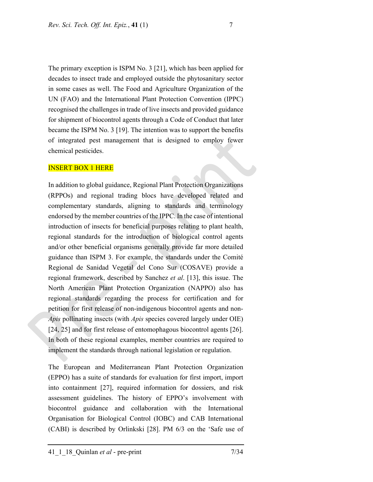The primary exception is ISPM No. 3 [21], which has been applied for decades to insect trade and employed outside the phytosanitary sector in some cases as well. The Food and Agriculture Organization of the UN (FAO) and the International Plant Protection Convention (IPPC) recognised the challenges in trade of live insects and provided guidance for shipment of biocontrol agents through a Code of Conduct that later became the ISPM No. 3 [19]. The intention was to support the benefits of integrated pest management that is designed to employ fewer chemical pesticides.

#### INSERT BOX 1 HERE

In addition to global guidance, Regional Plant Protection Organizations (RPPOs) and regional trading blocs have developed related and complementary standards, aligning to standards and terminology endorsed by the member countries of the IPPC. In the case of intentional introduction of insects for beneficial purposes relating to plant health, regional standards for the introduction of biological control agents and/or other beneficial organisms generally provide far more detailed guidance than ISPM 3. For example, the standards under the Comité Regional de Sanidad Vegetal del Cono Sur (COSAVE) provide a regional framework, described by Sanchez *et al*. [13], this issue. The North American Plant Protection Organization (NAPPO) also has regional standards regarding the process for certification and for petition for first release of non-indigenous biocontrol agents and non-*Apis* pollinating insects (with *Apis* species covered largely under OIE) [24, 25] and for first release of entomophagous biocontrol agents [26]. In both of these regional examples, member countries are required to implement the standards through national legislation or regulation.

The European and Mediterranean Plant Protection Organization (EPPO) has a suite of standards for evaluation for first import, import into containment [27], required information for dossiers, and risk assessment guidelines. The history of EPPO's involvement with biocontrol guidance and collaboration with the International Organisation for Biological Control (IOBC) and CAB International (CABI) is described by Orlinkski [28]. PM 6/3 on the 'Safe use of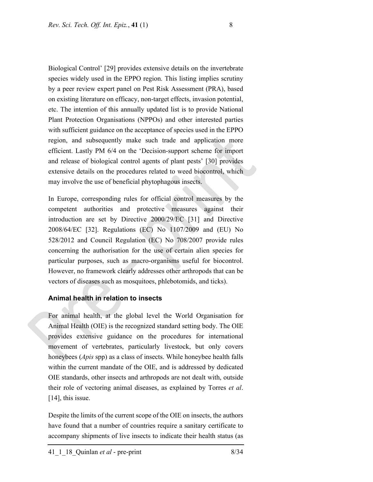Biological Control' [29] provides extensive details on the invertebrate species widely used in the EPPO region. This listing implies scrutiny by a peer review expert panel on Pest Risk Assessment (PRA), based on existing literature on efficacy, non-target effects, invasion potential, etc. The intention of this annually updated list is to provide National Plant Protection Organisations (NPPOs) and other interested parties with sufficient guidance on the acceptance of species used in the EPPO region, and subsequently make such trade and application more efficient. Lastly PM 6/4 on the 'Decision-support scheme for import and release of biological control agents of plant pests' [30] provides extensive details on the procedures related to weed biocontrol, which may involve the use of beneficial phytophagous insects.

In Europe, corresponding rules for official control measures by the competent authorities and protective measures against their introduction are set by Directive 2000/29/EC [31] and Directive 2008/64/EC [32]. Regulations (EC) No 1107/2009 and (EU) No 528/2012 and Council Regulation (EC) No 708/2007 provide rules concerning the authorisation for the use of certain alien species for particular purposes, such as macro-organisms useful for biocontrol. However, no framework clearly addresses other arthropods that can be vectors of diseases such as mosquitoes, phlebotomids, and ticks).

### **Animal health in relation to insects**

For animal health, at the global level the World Organisation for Animal Health (OIE) is the recognized standard setting body. The OIE provides extensive guidance on the procedures for international movement of vertebrates, particularly livestock, but only covers honeybees (*Apis* spp) as a class of insects. While honeybee health falls within the current mandate of the OIE, and is addressed by dedicated OIE standards, other insects and arthropods are not dealt with, outside their role of vectoring animal diseases, as explained by Torres *et al*. [14], this issue.

Despite the limits of the current scope of the OIE on insects, the authors have found that a number of countries require a sanitary certificate to accompany shipments of live insects to indicate their health status (as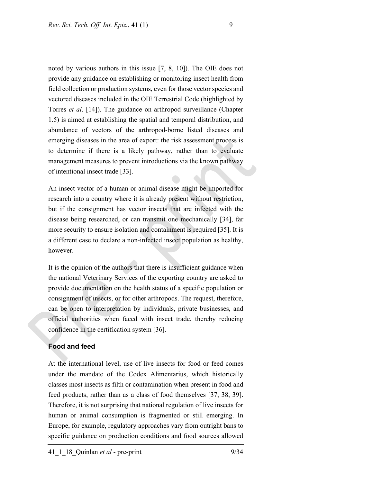noted by various authors in this issue [7, 8, 10]). The OIE does not provide any guidance on establishing or monitoring insect health from field collection or production systems, even for those vector species and vectored diseases included in the OIE Terrestrial Code (highlighted by Torres *et al*. [14]). The guidance on arthropod surveillance (Chapter 1.5) is aimed at establishing the spatial and temporal distribution, and abundance of vectors of the arthropod-borne listed diseases and emerging diseases in the area of export: the risk assessment process is to determine if there is a likely pathway, rather than to evaluate management measures to prevent introductions via the known pathway of intentional insect trade [33].

An insect vector of a human or animal disease might be imported for research into a country where it is already present without restriction, but if the consignment has vector insects that are infected with the disease being researched, or can transmit one mechanically [34], far more security to ensure isolation and containment is required [35]. It is a different case to declare a non-infected insect population as healthy, however.

It is the opinion of the authors that there is insufficient guidance when the national Veterinary Services of the exporting country are asked to provide documentation on the health status of a specific population or consignment of insects, or for other arthropods. The request, therefore, can be open to interpretation by individuals, private businesses, and official authorities when faced with insect trade, thereby reducing confidence in the certification system [36].

#### **Food and feed**

At the international level, use of live insects for food or feed comes under the mandate of the Codex Alimentarius, which historically classes most insects as filth or contamination when present in food and feed products, rather than as a class of food themselves [37, 38, 39]. Therefore, it is not surprising that national regulation of live insects for human or animal consumption is fragmented or still emerging. In Europe, for example, regulatory approaches vary from outright bans to specific guidance on production conditions and food sources allowed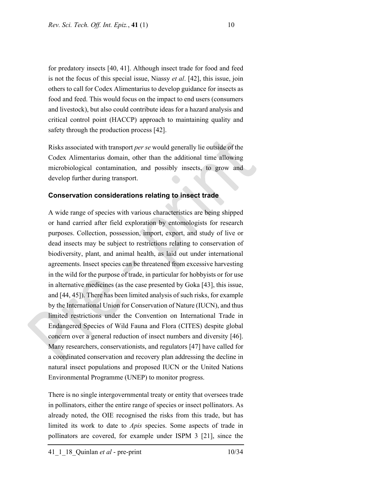for predatory insects [40, 41]. Although insect trade for food and feed is not the focus of this special issue, Niassy *et al*. [42], this issue, join others to call for Codex Alimentarius to develop guidance for insects as food and feed. This would focus on the impact to end users (consumers and livestock), but also could contribute ideas for a hazard analysis and critical control point (HACCP) approach to maintaining quality and safety through the production process [42].

Risks associated with transport *per se* would generally lie outside of the Codex Alimentarius domain, other than the additional time allowing microbiological contamination, and possibly insects, to grow and develop further during transport.

#### **Conservation considerations relating to insect trade**

A wide range of species with various characteristics are being shipped or hand carried after field exploration by entomologists for research purposes. Collection, possession, import, export, and study of live or dead insects may be subject to restrictions relating to conservation of biodiversity, plant, and animal health, as laid out under international agreements. Insect species can be threatened from excessive harvesting in the wild for the purpose of trade, in particular for hobbyists or for use in alternative medicines (as the case presented by Goka [43], this issue, and [44, 45]). There has been limited analysis of such risks, for example by the International Union for Conservation of Nature (IUCN), and thus limited restrictions under the Convention on International Trade in Endangered Species of Wild Fauna and Flora (CITES) despite global concern over a general reduction of insect numbers and diversity [46]. Many researchers, conservationists, and regulators [47] have called for a coordinated conservation and recovery plan addressing the decline in natural insect populations and proposed IUCN or the United Nations Environmental Programme (UNEP) to monitor progress.

There is no single intergovernmental treaty or entity that oversees trade in pollinators, either the entire range of species or insect pollinators. As already noted, the OIE recognised the risks from this trade, but has limited its work to date to *Apis* species. Some aspects of trade in pollinators are covered, for example under ISPM 3 [21], since the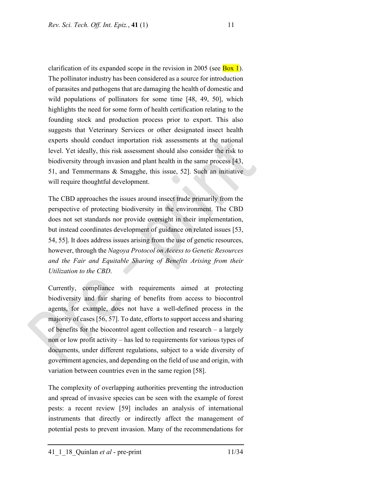clarification of its expanded scope in the revision in 2005 (see  $\frac{Box}{Box}$ ). The pollinator industry has been considered as a source for introduction of parasites and pathogens that are damaging the health of domestic and wild populations of pollinators for some time [48, 49, 50], which highlights the need for some form of health certification relating to the founding stock and production process prior to export. This also suggests that Veterinary Services or other designated insect health experts should conduct importation risk assessments at the national level. Yet ideally, this risk assessment should also consider the risk to biodiversity through invasion and plant health in the same process [43, 51, and Temmermans & Smagghe, this issue, 52]. Such an initiative will require thoughtful development.

The CBD approaches the issues around insect trade primarily from the perspective of protecting biodiversity in the environment. The CBD does not set standards nor provide oversight in their implementation, but instead coordinates development of guidance on related issues [53, 54, 55]. It does address issues arising from the use of genetic resources, however, through the *Nagoya Protocol on Access to Genetic Resources and the Fair and Equitable Sharing of Benefits Arising from their Utilization to the CBD*.

Currently, compliance with requirements aimed at protecting biodiversity and fair sharing of benefits from access to biocontrol agents, for example, does not have a well-defined process in the majority of cases [56, 57]. To date, efforts to support access and sharing of benefits for the biocontrol agent collection and research – a largely non or low profit activity – has led to requirements for various types of documents, under different regulations, subject to a wide diversity of government agencies, and depending on the field of use and origin, with variation between countries even in the same region [58].

The complexity of overlapping authorities preventing the introduction and spread of invasive species can be seen with the example of forest pests: a recent review [59] includes an analysis of international instruments that directly or indirectly affect the management of potential pests to prevent invasion. Many of the recommendations for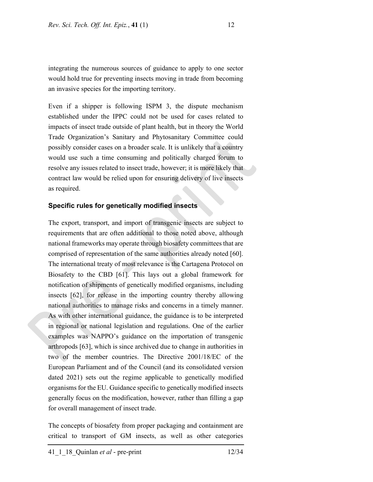integrating the numerous sources of guidance to apply to one sector would hold true for preventing insects moving in trade from becoming an invasive species for the importing territory.

Even if a shipper is following ISPM 3, the dispute mechanism established under the IPPC could not be used for cases related to impacts of insect trade outside of plant health, but in theory the World Trade Organization's Sanitary and Phytosanitary Committee could possibly consider cases on a broader scale. It is unlikely that a country would use such a time consuming and politically charged forum to resolve any issues related to insect trade, however; it is more likely that contract law would be relied upon for ensuring delivery of live insects as required.

#### **Specific rules for genetically modified insects**

The export, transport, and import of transgenic insects are subject to requirements that are often additional to those noted above, although national frameworks may operate through biosafety committees that are comprised of representation of the same authorities already noted [60]. The international treaty of most relevance is the Cartagena Protocol on Biosafety to the CBD [61]. This lays out a global framework for notification of shipments of genetically modified organisms, including insects [62], for release in the importing country thereby allowing national authorities to manage risks and concerns in a timely manner. As with other international guidance, the guidance is to be interpreted in regional or national legislation and regulations. One of the earlier examples was NAPPO's guidance on the importation of transgenic arthropods [63], which is since archived due to change in authorities in two of the member countries. The Directive 2001/18/EC of the European Parliament and of the Council (and its consolidated version dated 2021) sets out the regime applicable to genetically modified organisms for the EU. Guidance specific to genetically modified insects generally focus on the modification, however, rather than filling a gap for overall management of insect trade.

The concepts of biosafety from proper packaging and containment are critical to transport of GM insects, as well as other categories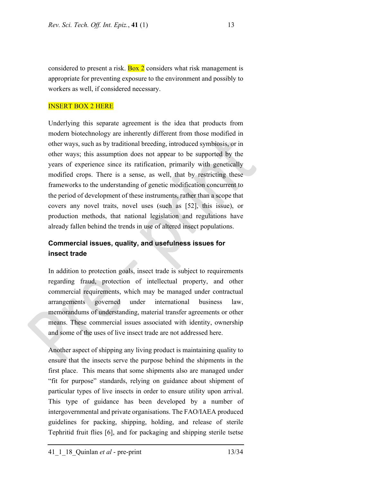considered to present a risk.  $\frac{Box}{2}$  considers what risk management is appropriate for preventing exposure to the environment and possibly to workers as well, if considered necessary.

#### INSERT BOX 2 HERE

Underlying this separate agreement is the idea that products from modern biotechnology are inherently different from those modified in other ways, such as by traditional breeding, introduced symbiosis, or in other ways; this assumption does not appear to be supported by the years of experience since its ratification, primarily with genetically modified crops. There is a sense, as well, that by restricting these frameworks to the understanding of genetic modification concurrent to the period of development of these instruments, rather than a scope that covers any novel traits, novel uses (such as [52], this issue), or production methods, that national legislation and regulations have already fallen behind the trends in use of altered insect populations.

# **Commercial issues, quality, and usefulness issues for insect trade**

In addition to protection goals, insect trade is subject to requirements regarding fraud, protection of intellectual property, and other commercial requirements, which may be managed under contractual arrangements governed under international business law, memorandums of understanding, material transfer agreements or other means. These commercial issues associated with identity, ownership and some of the uses of live insect trade are not addressed here.

Another aspect of shipping any living product is maintaining quality to ensure that the insects serve the purpose behind the shipments in the first place. This means that some shipments also are managed under "fit for purpose" standards, relying on guidance about shipment of particular types of live insects in order to ensure utility upon arrival. This type of guidance has been developed by a number of intergovernmental and private organisations. The FAO/IAEA produced guidelines for packing, shipping, holding, and release of sterile Tephritid fruit flies [6], and for packaging and shipping sterile tsetse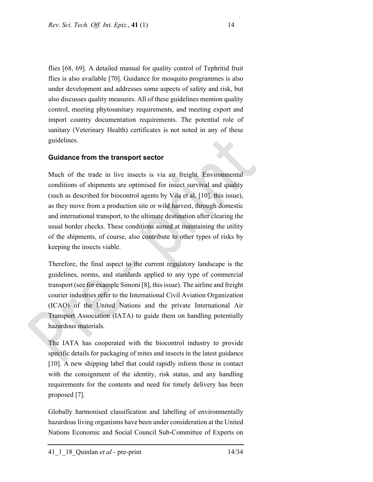flies [68, 69]. A detailed manual for quality control of Tephritid fruit flies is also available [70]. Guidance for mosquito programmes is also under development and addresses some aspects of safety and risk, but also discusses quality measures. All of these guidelines mention quality control, meeting phytosanitary requirements, and meeting export and import country documentation requirements. The potential role of sanitary (Veterinary Health) certificates is not noted in any of these guidelines.

# **Guidance from the transport sector**

Much of the trade in live insects is via air freight. Environmental conditions of shipments are optimised for insect survival and quality (such as described for biocontrol agents by Vila et al. [10], this issue), as they move from a production site or wild harvest, through domestic and international transport, to the ultimate destination after clearing the usual border checks. These conditions aimed at maintaining the utility of the shipments, of course, also contribute to other types of risks by keeping the insects viable.

Therefore, the final aspect to the current regulatory landscape is the guidelines, norms, and standards applied to any type of commercial transport (see for example Simoni [8], this issue). The airline and freight courier industries refer to the International Civil Aviation Organization (ICAO) of the United Nations and the private International Air Transport Association (IATA) to guide them on handling potentially hazardous materials.

The IATA has cooperated with the biocontrol industry to provide specific details for packaging of mites and insects in the latest guidance [10]. A new shipping label that could rapidly inform those in contact with the consignment of the identity, risk status, and any handling requirements for the contents and need for timely delivery has been proposed [7].

Globally harmonised classification and labelling of environmentally hazardous living organisms have been under consideration at the United Nations Economic and Social Council Sub-Committee of Experts on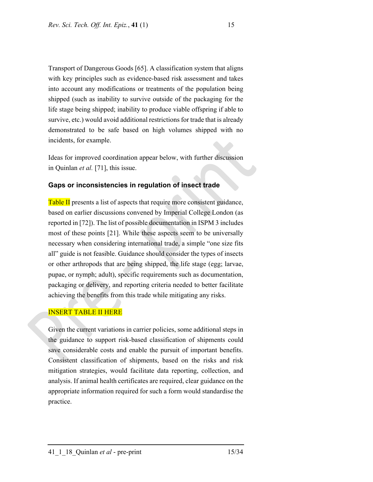Transport of Dangerous Goods [65]. A classification system that aligns with key principles such as evidence-based risk assessment and takes into account any modifications or treatments of the population being shipped (such as inability to survive outside of the packaging for the life stage being shipped; inability to produce viable offspring if able to survive, etc.) would avoid additional restrictions for trade that is already demonstrated to be safe based on high volumes shipped with no incidents, for example.

Ideas for improved coordination appear below, with further discussion in Quinlan *et al.* [71], this issue.

## **Gaps or inconsistencies in regulation of insect trade**

Table II presents a list of aspects that require more consistent guidance, based on earlier discussions convened by Imperial College London (as reported in [72]). The list of possible documentation in ISPM 3 includes most of these points [21]. While these aspects seem to be universally necessary when considering international trade, a simple "one size fits all" guide is not feasible. Guidance should consider the types of insects or other arthropods that are being shipped, the life stage (egg; larvae, pupae, or nymph; adult), specific requirements such as documentation, packaging or delivery, and reporting criteria needed to better facilitate achieving the benefits from this trade while mitigating any risks.

# INSERT TABLE II HERE

Given the current variations in carrier policies, some additional steps in the guidance to support risk-based classification of shipments could save considerable costs and enable the pursuit of important benefits. Consistent classification of shipments, based on the risks and risk mitigation strategies, would facilitate data reporting, collection, and analysis. If animal health certificates are required, clear guidance on the appropriate information required for such a form would standardise the practice.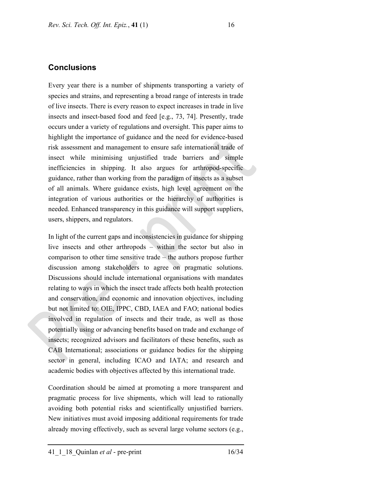# **Conclusions**

Every year there is a number of shipments transporting a variety of species and strains, and representing a broad range of interests in trade of live insects. There is every reason to expect increases in trade in live insects and insect-based food and feed [e.g., 73, 74]. Presently, trade occurs under a variety of regulations and oversight. This paper aims to highlight the importance of guidance and the need for evidence-based risk assessment and management to ensure safe international trade of insect while minimising unjustified trade barriers and simple inefficiencies in shipping. It also argues for arthropod-specific guidance, rather than working from the paradigm of insects as a subset of all animals. Where guidance exists, high level agreement on the integration of various authorities or the hierarchy of authorities is needed. Enhanced transparency in this guidance will support suppliers, users, shippers, and regulators.

In light of the current gaps and inconsistencies in guidance for shipping live insects and other arthropods – within the sector but also in comparison to other time sensitive trade – the authors propose further discussion among stakeholders to agree on pragmatic solutions. Discussions should include international organisations with mandates relating to ways in which the insect trade affects both health protection and conservation, and economic and innovation objectives, including but not limited to: OIE, IPPC, CBD, IAEA and FAO; national bodies involved in regulation of insects and their trade, as well as those potentially using or advancing benefits based on trade and exchange of insects; recognized advisors and facilitators of these benefits, such as CAB International; associations or guidance bodies for the shipping sector in general, including ICAO and IATA; and research and academic bodies with objectives affected by this international trade.

Coordination should be aimed at promoting a more transparent and pragmatic process for live shipments, which will lead to rationally avoiding both potential risks and scientifically unjustified barriers. New initiatives must avoid imposing additional requirements for trade already moving effectively, such as several large volume sectors (e.g.,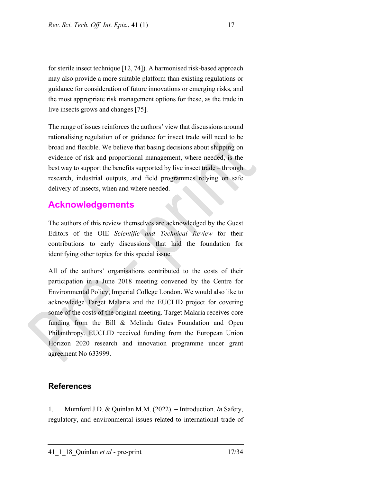for sterile insect technique [12, 74]). A harmonised risk-based approach may also provide a more suitable platform than existing regulations or guidance for consideration of future innovations or emerging risks, and the most appropriate risk management options for these, as the trade in live insects grows and changes [75].

The range of issues reinforces the authors' view that discussions around rationalising regulation of or guidance for insect trade will need to be broad and flexible. We believe that basing decisions about shipping on evidence of risk and proportional management, where needed, is the best way to support the benefits supported by live insect trade – through research, industrial outputs, and field programmes relying on safe delivery of insects, when and where needed.

# **Acknowledgements**

The authors of this review themselves are acknowledged by the Guest Editors of the OIE *Scientific and Technical Review* for their contributions to early discussions that laid the foundation for identifying other topics for this special issue.

All of the authors' organisations contributed to the costs of their participation in a June 2018 meeting convened by the Centre for Environmental Policy, Imperial College London. We would also like to acknowledge Target Malaria and the EUCLID project for covering some of the costs of the original meeting. Target Malaria receives core funding from the Bill & Melinda Gates Foundation and Open Philanthropy. EUCLID received funding from the European Union Horizon 2020 research and innovation programme under grant agreement No 633999.

# **References**

1. Mumford J.D. & Quinlan M.M. (2022). Introduction. *In* Safety, regulatory, and environmental issues related to international trade of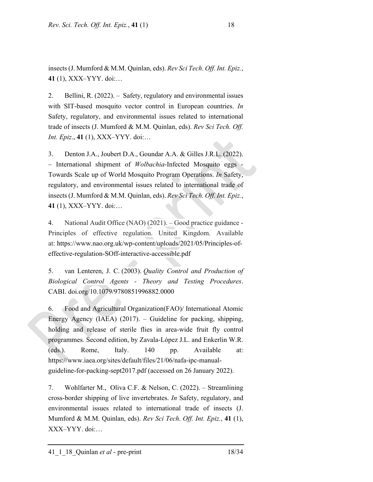insects (J. Mumford & M.M. Quinlan, eds). *Rev Sci Tech. Off. Int. Epiz.*, **41** (1), XXX–YYY. doi:…

2. Bellini, R. (2022). – Safety, regulatory and environmental issues with SIT-based mosquito vector control in European countries. *In* Safety, regulatory, and environmental issues related to international trade of insects (J. Mumford & M.M. Quinlan, eds). *Rev Sci Tech. Off. Int. Epiz*., **41** (1), XXX–YYY. doi:…

3. Denton J.A., Joubert D.A., Goundar A.A. & Gilles J.R.L. (2022). - International shipment of *Wolbachia*-Infected Mosquito eggs -Towards Scale up of World Mosquito Program Operations. *In* Safety, regulatory, and environmental issues related to international trade of insects (J. Mumford & M.M. Quinlan, eds). *Rev Sci Tech. Off. Int. Epiz.*, **41** (1), XXX–YYY. doi:…

4. National Audit Office (NAO) (2021). – Good practice guidance - Principles of effective regulation. United Kingdom. Available at: https://www.nao.org.uk/wp-content/uploads/2021/05/Principles-ofeffective-regulation-SOff-interactive-accessible.pdf

5. van Lenteren, J. C. (2003). *Quality Control and Production of Biological Control Agents - Theory and Testing Procedures*. CABI. doi.org/10.1079/9780851996882.0000

6. Food and Agricultural Organization(FAO)/ International Atomic Energy Agency (IAEA) (2017). – Guideline for packing, shipping, holding and release of sterile flies in area-wide fruit fly control programmes. Second edition, by Zavala-López J.L. and Enkerlin W.R. (eds.). Rome, Italy. 140 pp. Available at: https://www.iaea.org/sites/default/files/21/06/nafa-ipc-manualguideline-for-packing-sept2017.pdf (accessed on 26 January 2022).

7. Wohlfarter M., Oliva C.F. & Nelson, C. (2022). – Streamlining cross-border shipping of live invertebrates. *In* Safety, regulatory, and environmental issues related to international trade of insects (J. Mumford & M.M. Quinlan, eds). *Rev Sci Tech. Off. Int. Epiz.*, **41** (1), XXX–YYY. doi:…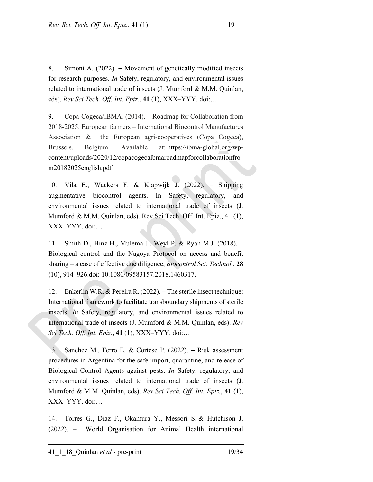8. Simoni A. (2022). Movement of genetically modified insects for research purposes. *In* Safety, regulatory, and environmental issues related to international trade of insects (J. Mumford & M.M. Quinlan, eds). *Rev Sci Tech. Off. Int. Epiz.*, **41** (1), XXX–YYY. doi:…

9. Copa-Cogeca/IBMA. (2014). – Roadmap for Collaboration from 2018-2025. European farmers – International Biocontrol Manufactures Association & the European agri-cooperatives (Copa Cogeca), Brussels, Belgium. Available at: https://ibma-global.org/wpcontent/uploads/2020/12/copacogecaibmaroadmapforcollaborationfro m20182025english.pdf

10. Vila E., Wäckers F. & Klapwijk J. (2022). Shipping augmentative biocontrol agents. In Safety, regulatory, and environmental issues related to international trade of insects (J. Mumford & M.M. Quinlan, eds). Rev Sci Tech. Off. Int. Epiz., 41 (1), XXX–YYY. doi:…

11. Smith D., Hinz H., Mulema J., Weyl P. & Ryan M.J. (2018). – Biological control and the Nagoya Protocol on access and benefit sharing – a case of effective due diligence, *Biocontrol Sci. Technol.*, **28** (10), 914–926.doi: 10.1080/09583157.2018.1460317.

12. Enkerlin W.R. & Pereira R. (2022). The sterile insect technique: International framework to facilitate transboundary shipments of sterile insects. *In* Safety, regulatory, and environmental issues related to international trade of insects (J. Mumford & M.M. Quinlan, eds). *Rev Sci Tech. Off. Int. Epiz.*, **41** (1), XXX–YYY. doi:…

13. Sanchez M., Ferro E. & Cortese P. (2022). – Risk assessment procedures in Argentina for the safe import, quarantine, and release of Biological Control Agents against pests. *In* Safety, regulatory, and environmental issues related to international trade of insects (J. Mumford & M.M. Quinlan, eds). *Rev Sci Tech. Off. Int. Epiz.*, **41** (1), XXX–YYY. doi:…

14. Torres G., Diaz F., Okamura Y., Messori S. & Hutchison J. (2022). – World Organisation for Animal Health international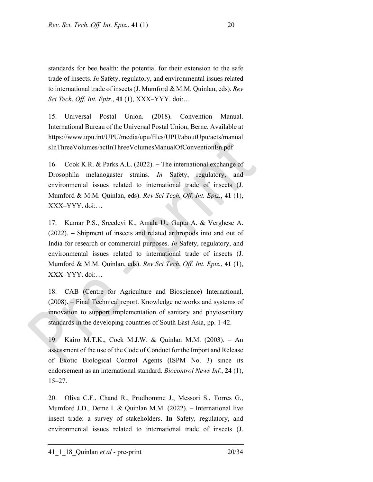standards for bee health: the potential for their extension to the safe trade of insects. *In* Safety, regulatory, and environmental issues related to international trade of insects (J. Mumford & M.M. Quinlan, eds). *Rev Sci Tech. Off. Int. Epiz.*, **41** (1), XXX–YYY. doi:…

15. Universal Postal Union. (2018). Convention Manual. International Bureau of the Universal Postal Union, Berne. Available at https://www.upu.int/UPU/media/upu/files/UPU/aboutUpu/acts/manual sInThreeVolumes/actInThreeVolumesManualOfConventionEn.pdf

16. Cook K.R. & Parks A.L. (2022). The international exchange of Drosophila melanogaster strains. *In* Safety, regulatory, and environmental issues related to international trade of insects (J. Mumford & M.M. Quinlan, eds). *Rev Sci Tech. Off. Int. Epiz.*, **41** (1), XXX–YYY. doi:…

17. Kumar P.S., Sreedevi K., Amala U., Gupta A. & Verghese A. (2022). Shipment of insects and related arthropods into and out of India for research or commercial purposes. *In* Safety, regulatory, and environmental issues related to international trade of insects (J. Mumford & M.M. Quinlan, eds). *Rev Sci Tech. Off. Int. Epiz.*, **41** (1), XXX–YYY. doi:…

18. CAB (Centre for Agriculture and Bioscience) International. (2008). – Final Technical report. Knowledge networks and systems of innovation to support implementation of sanitary and phytosanitary standards in the developing countries of South East Asia, pp. 1-42.

19. Kairo M.T.K., Cock M.J.W. & Quinlan M.M. (2003). – An assessment of the use of the Code of Conduct for the Import and Release of Exotic Biological Control Agents (ISPM No. 3) since its endorsement as an international standard. *Biocontrol News Inf.*, **24** (1), 15–27.

20. Oliva C.F., Chand R., Prudhomme J., Messori S., Torres G., Mumford J.D., Deme I. & Quinlan M.M. (2022). – International live insect trade: a survey of stakeholders. **In** Safety, regulatory, and environmental issues related to international trade of insects (J.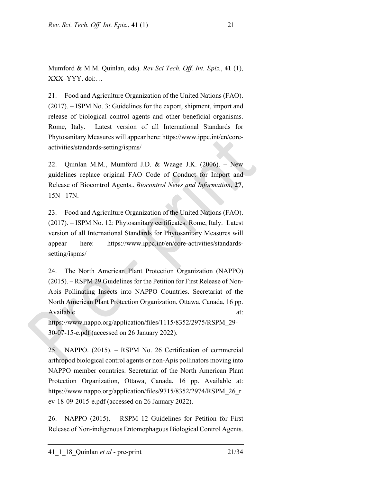Mumford & M.M. Quinlan, eds). *Rev Sci Tech. Off. Int. Epiz.*, **41** (1), XXX–YYY. doi:…

21. Food and Agriculture Organization of the United Nations (FAO). (2017). – ISPM No. 3: Guidelines for the export, shipment, import and release of biological control agents and other beneficial organisms. Rome, Italy. Latest version of all International Standards for Phytosanitary Measures will appear here: https://www.ippc.int/en/coreactivities/standards-setting/ispms/

22. Quinlan M.M., Mumford J.D. & Waage J.K. (2006). – New guidelines replace original FAO Code of Conduct for Import and Release of Biocontrol Agents., *Biocontrol News and Information*, **27**, 15N –17N.

23. Food and Agriculture Organization of the United Nations (FAO). (2017). – ISPM No. 12: Phytosanitary certificates. Rome, Italy. Latest version of all International Standards for Phytosanitary Measures will appear here: https://www.ippc.int/en/core-activities/standardssetting/ispms/

24. The North American Plant Protection Organization (NAPPO) (2015). – RSPM 29 Guidelines for the Petition for First Release of Non-Apis Pollinating Insects into NAPPO Countries. Secretariat of the North American Plant Protection Organization, Ottawa, Canada, 16 pp. Available at:

https://www.nappo.org/application/files/1115/8352/2975/RSPM\_29- 30-07-15-e.pdf (accessed on 26 January 2022).

25. NAPPO. (2015). – RSPM No. 26 Certification of commercial arthropod biological control agents or non-Apis pollinators moving into NAPPO member countries. Secretariat of the North American Plant Protection Organization, Ottawa, Canada, 16 pp. Available at: https://www.nappo.org/application/files/9715/8352/2974/RSPM\_26\_r ev-18-09-2015-e.pdf (accessed on 26 January 2022).

26. NAPPO (2015). – RSPM 12 Guidelines for Petition for First Release of Non-indigenous Entomophagous Biological Control Agents.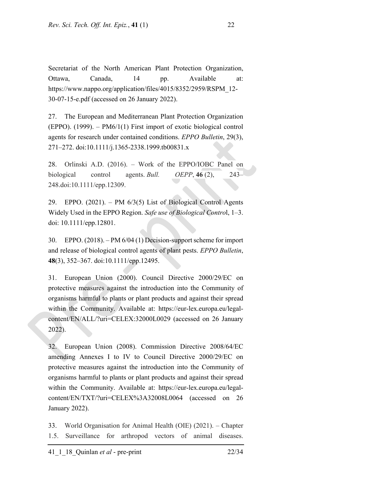Secretariat of the North American Plant Protection Organization, Ottawa, Canada, 14 pp. Available at: https://www.nappo.org/application/files/4015/8352/2959/RSPM\_12-30-07-15-e.pdf (accessed on 26 January 2022).

27. The European and Mediterranean Plant Protection Organization (EPPO). (1999). – PM6/1(1) First import of exotic biological control agents for research under contained conditions. *EPPO Bulletin*, 29(3), 271–272. doi:10.1111/j.1365-2338.1999.tb00831.x

28. Orlinski A.D. (2016). – Work of the EPPO/IOBC Panel on biological control agents. *Bull. OEPP*, **46** (2), 243– 248.doi:10.1111/epp.12309.

29. EPPO. (2021). – PM 6/3(5) List of Biological Control Agents Widely Used in the EPPO Region. *Safe use of Biological Contro*l, 1–3. doi: 10.1111/epp.12801.

30. EPPO. (2018). – PM 6/04 (1) Decision-support scheme for import and release of biological control agents of plant pests. *EPPO Bulletin*, **48**(3), 352–367. doi:10.1111/epp.12495.

31. European Union (2000). Council Directive 2000/29/EC on protective measures against the introduction into the Community of organisms harmful to plants or plant products and against their spread within the Community. Available at: https://eur-lex.europa.eu/legalcontent/EN/ALL/?uri=CELEX:32000L0029 (accessed on 26 January 2022).

32. European Union (2008). Commission Directive 2008/64/EC amending Annexes I to IV to Council Directive 2000/29/EC on protective measures against the introduction into the Community of organisms harmful to plants or plant products and against their spread within the Community. Available at: https://eur-lex.europa.eu/legalcontent/EN/TXT/?uri=CELEX%3A32008L0064 (accessed on 26 January 2022).

33. World Organisation for Animal Health (OIE) (2021). – Chapter 1.5. Surveillance for arthropod vectors of animal diseases.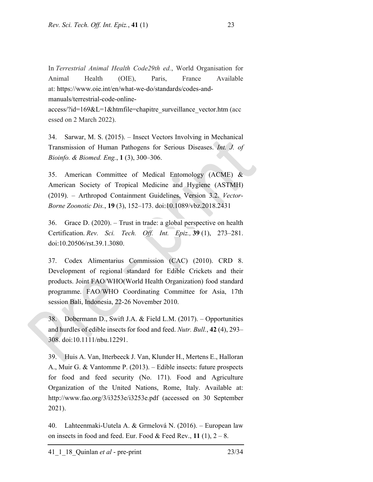In *Terrestrial Animal Health Code29th ed.*, World Organisation for Animal Health (OIE), Paris, France Available at: https://www.oie.int/en/what-we-do/standards/codes-andmanuals/terrestrial-code-onlineaccess/?id=169&L=1&htmfile=chapitre\_surveillance\_vector.htm (acc essed on 2 March 2022).

34. Sarwar, M. S. (2015). – Insect Vectors Involving in Mechanical Transmission of Human Pathogens for Serious Diseases. *Int. J. of Bioinfo. & Biomed. Eng.*, **1** (3), 300–306.

35. American Committee of Medical Entomology (ACME) & American Society of Tropical Medicine and Hygiene (ASTMH) (2019). – Arthropod Containment Guidelines, Version 3.2. *Vector-Borne Zoonotic Dis.*, **19** (3), 152–173. doi:10.1089/vbz.2018.2431

36. Grace D. (2020). – Trust in trade: a global perspective on health Certification. *Rev. Sci. Tech. Off. Int. Epiz.,* **39** (1), 273–281. doi:10.20506/rst.39.1.3080.

37. Codex Alimentarius Commission (CAC) (2010). CRD 8. Development of regional standard for Edible Crickets and their products. Joint FAO/WHO(World Health Organization) food standard programme. FAO/WHO Coordinating Committee for Asia, 17th session Bali, Indonesia, 22-26 November 2010.

38. Dobermann D., Swift J.A. & Field L.M. (2017). – Opportunities and hurdles of edible insects for food and feed. *Nutr. Bull.*, **42** (4), 293– 308. doi:10.1111/nbu.12291.

39. Huis A. Van, Itterbeeck J. Van, Klunder H., Mertens E., Halloran A., Muir G. & Vantomme P. (2013). – Edible insects: future prospects for food and feed security (No. 171). Food and Agriculture Organization of the United Nations, Rome, Italy. Available at: http://www.fao.org/3/i3253e/i3253e.pdf (accessed on 30 September 2021).

40. Lahteenmaki-Uutela A. & Grmelová N. (2016). – European law on insects in food and feed. Eur. Food  $\&$  Feed Rev., 11 (1),  $2 - 8$ .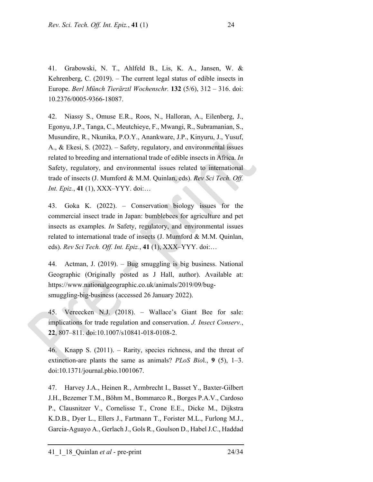41. Grabowski, N. T., Ahlfeld B., Lis, K. A., Jansen, W. & Kehrenberg, C. (2019). – The current legal status of edible insects in Europe. *Berl Münch Tierärztl Wochenschr.* **132** (5/6), 312 – 316. doi: 10.2376/0005-9366-18087.

42. Niassy S., Omuse E.R., Roos, N., Halloran, A., Eilenberg, J., Egonyu, J.P., Tanga, C., Meutchieye, F., Mwangi, R., Subramanian, S., Musundire, R., Nkunika, P.O.Y., Anankware, J.P., Kinyuru, J., Yusuf, A., & Ekesi, S. (2022). – Safety, regulatory, and environmental issues related to breeding and international trade of edible insects in Africa. *In* Safety, regulatory, and environmental issues related to international trade of insects (J. Mumford & M.M. Quinlan, eds). *Rev Sci Tech. Off. Int. Epiz.*, **41** (1), XXX–YYY. doi:…

43. Goka K. (2022). – Conservation biology issues for the commercial insect trade in Japan: bumblebees for agriculture and pet insects as examples. *In* Safety, regulatory, and environmental issues related to international trade of insects (J. Mumford & M.M. Quinlan, eds). *Rev Sci Tech. Off. Int. Epiz.*, **41** (1), XXX–YYY. doi:…

44. Actman, J. (2019). – Bug smuggling is big business. National Geographic (Originally posted as J Hall, author). Available at: https://www.nationalgeographic.co.uk/animals/2019/09/bugsmuggling-big-business (accessed 26 January 2022).

45. Vereecken N.J. (2018). – Wallace's Giant Bee for sale: implications for trade regulation and conservation. *J. Insect Conserv.*, **22**, 807–811. doi:10.1007/s10841-018-0108-2.

46. Knapp S. (2011). – Rarity, species richness, and the threat of extinction-are plants the same as animals? *PLoS Bio*l., **9** (5), 1–3. doi:10.1371/journal.pbio.1001067.

47. Harvey J.A., Heinen R., Armbrecht I., Basset Y., Baxter-Gilbert J.H., Bezemer T.M., Böhm M., Bommarco R., Borges P.A.V., Cardoso P., Clausnitzer V., Cornelisse T., Crone E.E., Dicke M., Dijkstra K.D.B., Dyer L., Ellers J., Fartmann T., Forister M.L., Furlong M.J., Garcia-Aguayo A., Gerlach J., Gols R., Goulson D., Habel J.C., Haddad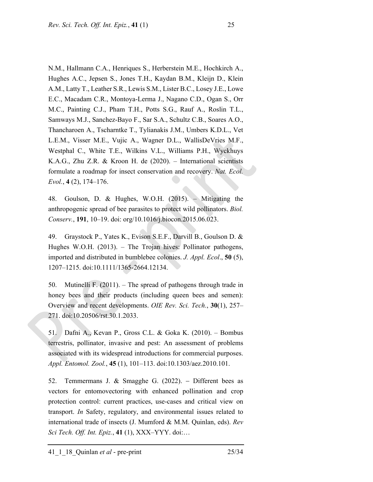N.M., Hallmann C.A., Henriques S., Herberstein M.E., Hochkirch A., Hughes A.C., Jepsen S., Jones T.H., Kaydan B.M., Kleijn D., Klein A.M., Latty T., Leather S.R., Lewis S.M., Lister B.C., Losey J.E., Lowe E.C., Macadam C.R., Montoya-Lerma J., Nagano C.D., Ogan S., Orr M.C., Painting C.J., Pham T.H., Potts S.G., Rauf A., Roslin T.L., Samways M.J., Sanchez-Bayo F., Sar S.A., Schultz C.B., Soares A.O., Thancharoen A., Tscharntke T., Tylianakis J.M., Umbers K.D.L., Vet L.E.M., Visser M.E., Vujic A., Wagner D.L., WallisDeVries M.F., Westphal C., White T.E., Wilkins V.L., Williams P.H., Wyckhuys K.A.G., Zhu Z.R. & Kroon H. de (2020). – International scientists formulate a roadmap for insect conservation and recovery. *Nat. Ecol. Evol.*, **4** (2), 174–176.

48. Goulson, D. & Hughes, W.O.H. (2015). – Mitigating the anthropogenic spread of bee parasites to protect wild pollinators. *Biol. Conserv.*, **191**, 10–19. doi: org/10.1016/j.biocon.2015.06.023.

49. Graystock P., Yates K., Evison S.E.F., Darvill B., Goulson D. & Hughes W.O.H. (2013). – The Trojan hives: Pollinator pathogens, imported and distributed in bumblebee colonies. *J. Appl. Ecol*., **50** (5), 1207–1215. doi:10.1111/1365-2664.12134.

50. Mutinelli F. (2011). – The spread of pathogens through trade in honey bees and their products (including queen bees and semen): Overview and recent developments. *OIE Rev. Sci. Tech.*, **30**(1), 257– 271. doi:10.20506/rst.30.1.2033.

51. Dafni A., Kevan P., Gross C.L. & Goka K. (2010). – Bombus terrestris, pollinator, invasive and pest: An assessment of problems associated with its widespread introductions for commercial purposes. *Appl. Entomol. Zool.*, **45** (1), 101–113. doi:10.1303/aez.2010.101.

52. Temmermans J. & Smagghe G. (2022). Different bees as vectors for entomovectoring with enhanced pollination and crop protection control: current practices, use-cases and critical view on transport. *In* Safety, regulatory, and environmental issues related to international trade of insects (J. Mumford & M.M. Quinlan, eds). *Rev Sci Tech. Off. Int. Epiz.*, **41** (1), XXX–YYY. doi:…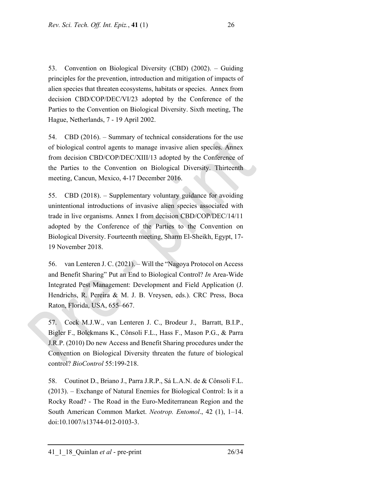53. Convention on Biological Diversity (CBD) (2002). – Guiding principles for the prevention, introduction and mitigation of impacts of alien species that threaten ecosystems, habitats or species. Annex from decision CBD/COP/DEC/VI/23 adopted by the Conference of the Parties to the Convention on Biological Diversity. Sixth meeting, The Hague, Netherlands, 7 - 19 April 2002.

54. CBD (2016). – Summary of technical considerations for the use of biological control agents to manage invasive alien species. Annex from decision CBD/COP/DEC/XIII/13 adopted by the Conference of the Parties to the Convention on Biological Diversity. Thirteenth meeting, Cancun, Mexico, 4-17 December 2016.

55. CBD (2018). – Supplementary voluntary guidance for avoiding unintentional introductions of invasive alien species associated with trade in live organisms. Annex I from decision CBD/COP/DEC/14/11 adopted by the Conference of the Parties to the Convention on Biological Diversity. Fourteenth meeting, Sharm El-Sheikh, Egypt, 17- 19 November 2018.

56. van Lenteren J. C. (2021). – Will the "Nagoya Protocol on Access and Benefit Sharing" Put an End to Biological Control? *In* Area-Wide Integrated Pest Management: Development and Field Application (J. Hendrichs, R. Pereira & M. J. B. Vreysen, eds.). CRC Press, Boca Raton, Florida, USA, 655–667.

57. Cock M.J.W., van Lenteren J. C., Brodeur J., Barratt, B.I.P., Bigler F., Bolckmans K., Cônsoli F.L., Hass F., Mason P.G., & Parra J.R.P. (2010) Do new Access and Benefit Sharing procedures under the Convention on Biological Diversity threaten the future of biological control? *BioControl* 55:199-218.

58. Coutinot D., Briano J., Parra J.R.P., Sá L.A.N. de & Cônsoli F.L. (2013). – Exchange of Natural Enemies for Biological Control: Is it a Rocky Road? - The Road in the Euro-Mediterranean Region and the South American Common Market. *Neotrop. Entomol*., 42 (1), 1–14. doi:10.1007/s13744-012-0103-3.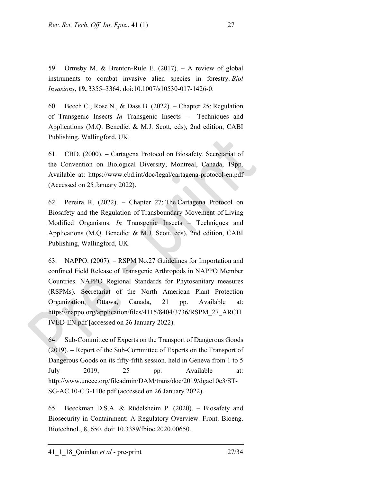59. Ormsby M. & Brenton-Rule E. (2017). – A review of global instruments to combat invasive alien species in forestry. *Biol Invasions*, **19,** 3355–3364. doi:10.1007/s10530-017-1426-0.

60. Beech C., Rose N., & Dass B. (2022). – Chapter 25: Regulation of Transgenic Insects *In* Transgenic Insects – Techniques and Applications (M.Q. Benedict & M.J. Scott, eds), 2nd edition, CABI Publishing, Wallingford, UK.

61. CBD. (2000). Cartagena Protocol on Biosafety. Secretariat of the Convention on Biological Diversity, Montreal, Canada, 19pp. Available at: https://www.cbd.int/doc/legal/cartagena-protocol-en.pdf (Accessed on 25 January 2022).

62. Pereira R. (2022). – Chapter 27: The Cartagena Protocol on Biosafety and the Regulation of Transboundary Movement of Living Modified Organisms. *In* Transgenic Insects – Techniques and Applications (M.Q. Benedict & M.J. Scott, eds), 2nd edition, CABI Publishing, Wallingford, UK.

63. NAPPO. (2007). – RSPM No.27 Guidelines for Importation and confined Field Release of Transgenic Arthropods in NAPPO Member Countries. NAPPO Regional Standards for Phytosanitary measures (RSPMs). Secretariat of the North American Plant Protection Organization, Ottawa, Canada, 21 pp. Available at: https://nappo.org/application/files/4115/8404/3736/RSPM\_27\_ARCH IVED-EN.pdf [accessed on 26 January 2022).

64. Sub-Committee of Experts on the Transport of Dangerous Goods (2019). Report of the Sub-Committee of Experts on the Transport of Dangerous Goods on its fifty-fifth session. held in Geneva from 1 to 5 July 2019, 25 pp. Available at: http://www.unece.org/fileadmin/DAM/trans/doc/2019/dgac10c3/ST-SG-AC.10-C.3-110e.pdf (accessed on 26 January 2022).

65. Beeckman D.S.A. & Rüdelsheim P. (2020). – Biosafety and Biosecurity in Containment: A Regulatory Overview. Front. Bioeng. Biotechnol., 8, 650. doi: 10.3389/fbioe.2020.00650.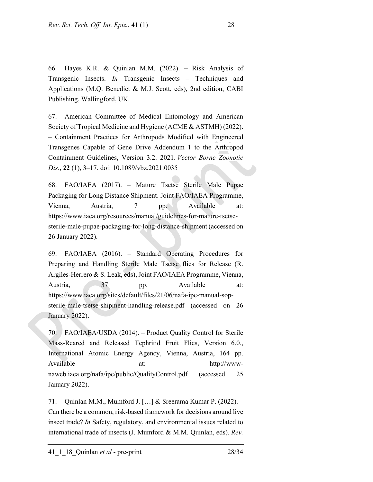66. Hayes K.R. & Quinlan M.M. (2022). – Risk Analysis of Transgenic Insects. *In* Transgenic Insects – Techniques and Applications (M.Q. Benedict & M.J. Scott, eds), 2nd edition, CABI Publishing, Wallingford, UK.

67. American Committee of Medical Entomology and American Society of Tropical Medicine and Hygiene (ACME & ASTMH) (2022). – Containment Practices for Arthropods Modified with Engineered Transgenes Capable of Gene Drive Addendum 1 to the Arthropod Containment Guidelines, Version 3.2. 2021. *Vector Borne Zoonotic Dis*., **22** (1), 3–17. doi: 10.1089/vbz.2021.0035

68. FAO/IAEA (2017). – Mature Tsetse Sterile Male Pupae Packaging for Long Distance Shipment. Joint FAO/IAEA Programme, Vienna, Austria, 7 pp. Available at: https://www.iaea.org/resources/manual/guidelines-for-mature-tsetsesterile-male-pupae-packaging-for-long-distance-shipment (accessed on 26 January 2022).

69. FAO/IAEA (2016). – Standard Operating Procedures for Preparing and Handling Sterile Male Tsetse flies for Release (R. Argiles-Herrero & S. Leak, eds), Joint FAO/IAEA Programme, Vienna, Austria, 37 pp. Available at: https://www.iaea.org/sites/default/files/21/06/nafa-ipc-manual-sopsterile-male-tsetse-shipment-handling-release.pdf (accessed on 26 January 2022).

70. FAO/IAEA/USDA (2014). – Product Quality Control for Sterile Mass-Reared and Released Tephritid Fruit Flies, Version 6.0., International Atomic Energy Agency, Vienna, Austria, 164 pp. Available at: http://wwwnaweb.iaea.org/nafa/ipc/public/QualityControl.pdf (accessed 25 January 2022).

71. Quinlan M.M., Mumford J. […] & Sreerama Kumar P. (2022). – Can there be a common, risk-based framework for decisions around live insect trade? *In* Safety, regulatory, and environmental issues related to international trade of insects (J. Mumford & M.M. Quinlan, eds). *Rev.*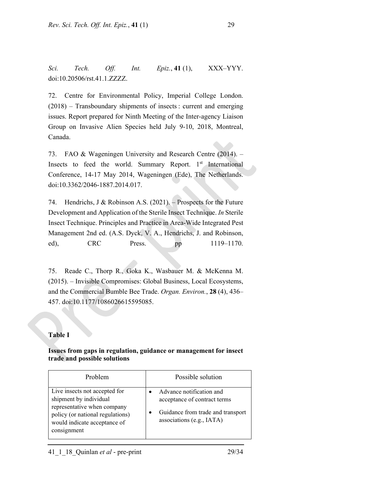*Sci. Tech. Off. Int. Epiz.*, **41** (1), XXX–YYY. doi:10.20506/rst.41.1.ZZZZ.

72. Centre for Environmental Policy, Imperial College London. (2018) – Transboundary shipments of insects : current and emerging issues. Report prepared for Ninth Meeting of the Inter-agency Liaison Group on Invasive Alien Species held July 9-10, 2018, Montreal, Canada.

73. FAO & Wageningen University and Research Centre (2014). – Insects to feed the world. Summary Report.  $1<sup>st</sup>$  International Conference, 14-17 May 2014, Wageningen (Ede), The Netherlands. doi:10.3362/2046-1887.2014.017.

74. Hendrichs, J & Robinson A.S. (2021). – Prospects for the Future Development and Application of the Sterile Insect Technique. *In* Sterile Insect Technique. Principles and Practice in Area-Wide Integrated Pest Management 2nd ed. (A.S. Dyck, V. A., Hendrichs, J. and Robinson, ed), CRC Press. pp 1119–1170.

75. Reade C., Thorp R., Goka K., Wasbauer M. & McKenna M. (2015). – Invisible Compromises: Global Business, Local Ecosystems, and the Commercial Bumble Bee Trade. *Organ. Environ.*, **28** (4), 436– 457. doi:10.1177/1086026615595085.

# **Table I**

## **Issues from gaps in regulation, guidance or management for insect trade and possible solutions**

| Problem                                                                                                                                                                   | Possible solution                                                                                                          |
|---------------------------------------------------------------------------------------------------------------------------------------------------------------------------|----------------------------------------------------------------------------------------------------------------------------|
| Live insects not accepted for<br>shipment by individual<br>representative when company<br>policy (or national regulations)<br>would indicate acceptance of<br>consignment | Advance notification and<br>acceptance of contract terms<br>Guidance from trade and transport<br>associations (e.g., IATA) |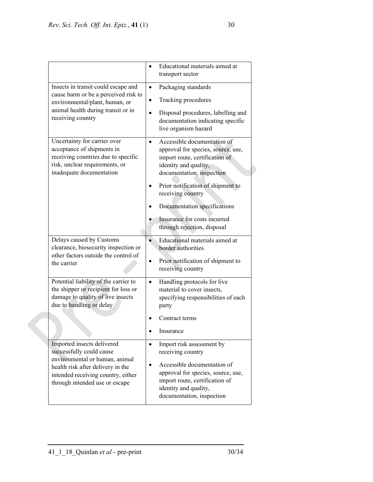|                                                                                                                                                                                                       | Educational materials aimed at<br>transport sector                                                                                                                                                                               |
|-------------------------------------------------------------------------------------------------------------------------------------------------------------------------------------------------------|----------------------------------------------------------------------------------------------------------------------------------------------------------------------------------------------------------------------------------|
| Insects in transit could escape and<br>cause harm or be a perceived risk to<br>environmental/plant, human, or<br>animal health during transit or in<br>receiving country                              | Packaging standards<br>$\bullet$<br>Tracking procedures<br>٠<br>Disposal procedures, labelling and<br>documentation indicating specific<br>live organism hazard                                                                  |
| Uncertainty for carrier over<br>acceptance of shipments in<br>receiving countries due to specific<br>risk, unclear requirements, or<br>inadequate documentation                                       | Accessible documentation of<br>$\bullet$<br>approval for species, source, use,<br>import route, certification of<br>identity and quality,<br>documentation, inspection<br>Prior notification of shipment to<br>receiving country |
|                                                                                                                                                                                                       | Documentation specifications<br>Insurance for costs incurred<br>through rejection, disposal                                                                                                                                      |
| Delays caused by Customs<br>clearance, biosecurity inspection or<br>other factors outside the control of<br>the carrier                                                                               | Educational materials aimed at<br>$\bullet$<br>border authorities<br>Prior notification of shipment to<br>٠<br>receiving country                                                                                                 |
| Potential liability of the carrier to<br>the shipper or recipient for loss or<br>damage to quality of live insects<br>due to handling or delay                                                        | Handling protocols for live<br>$\bullet$<br>material to cover insects,<br>specifying responsibilities of each<br>party<br>Contract terms                                                                                         |
|                                                                                                                                                                                                       | Insurance                                                                                                                                                                                                                        |
| Imported insects delivered<br>successfully could cause<br>environmental or human, animal<br>health risk after delivery in the<br>intended receiving country, either<br>through intended use or escape | Import risk assessment by<br>$\bullet$<br>receiving country<br>Accessible documentation of<br>approval for species, source, use,<br>import route, certification of<br>identity and quality,<br>documentation, inspection         |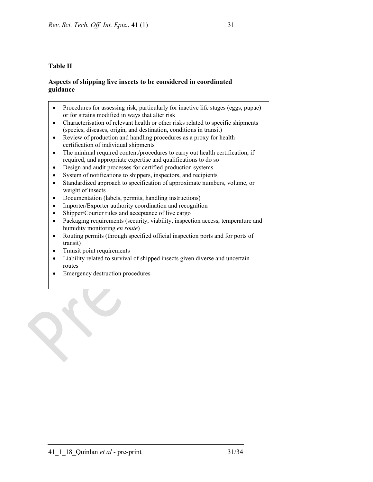## **Table II**

### **Aspects of shipping live insects to be considered in coordinated guidance**

- Procedures for assessing risk, particularly for inactive life stages (eggs, pupae) or for strains modified in ways that alter risk
- Characterisation of relevant health or other risks related to specific shipments (species, diseases, origin, and destination, conditions in transit)
- Review of production and handling procedures as a proxy for health certification of individual shipments
- The minimal required content/procedures to carry out health certification, if required, and appropriate expertise and qualifications to do so
- Design and audit processes for certified production systems
- System of notifications to shippers, inspectors, and recipients
- Standardized approach to specification of approximate numbers, volume, or weight of insects
- Documentation (labels, permits, handling instructions)
- Importer/Exporter authority coordination and recognition
- Shipper/Courier rules and acceptance of live cargo
- Packaging requirements (security, viability, inspection access, temperature and humidity monitoring *en route*)
- Routing permits (through specified official inspection ports and for ports of transit)
- Transit point requirements

- Liability related to survival of shipped insects given diverse and uncertain routes
- Emergency destruction procedures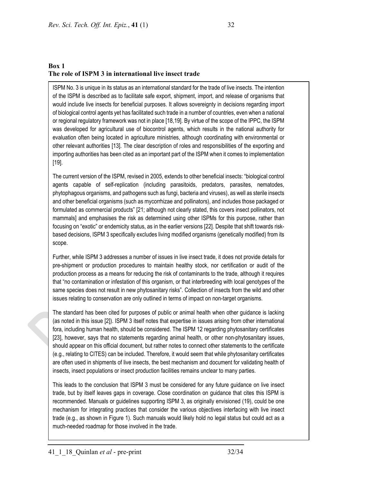$\overline{\phantom{a}}$ 

### **Box 1 The role of ISPM 3 in international live insect trade**

ISPM No. 3 is unique in its status as an international standard for the trade of live insects. The intention of the ISPM is described as to facilitate safe export, shipment, import, and release of organisms that would include live insects for beneficial purposes. It allows sovereignty in decisions regarding import of biological control agents yet has facilitated such trade in a number of countries, even when a national or regional regulatory framework was not in place [18,19]. By virtue of the scope of the IPPC, the ISPM was developed for agricultural use of biocontrol agents, which results in the national authority for evaluation often being located in agriculture ministries, although coordinating with environmental or other relevant authorities [13]. The clear description of roles and responsibilities of the exporting and importing authorities has been cited as an important part of the ISPM when it comes to implementation [19].

The current version of the ISPM, revised in 2005, extends to other beneficial insects: "biological control agents capable of self-replication (including parasitoids, predators, parasites, nematodes, phytophagous organisms, and pathogens such as fungi, bacteria and viruses), as well as sterile insects and other beneficial organisms (such as mycorrhizae and pollinators), and includes those packaged or formulated as commercial products" [21; although not clearly stated, this covers insect pollinators, not mammals] and emphasises the risk as determined using other ISPMs for this purpose, rather than focusing on "exotic" or endemicity status, as in the earlier versions [22]. Despite that shift towards riskbased decisions, ISPM 3 specifically excludes living modified organisms (genetically modified) from its scope.

Further, while ISPM 3 addresses a number of issues in live insect trade, it does not provide details for pre-shipment or production procedures to maintain healthy stock, nor certification or audit of the production process as a means for reducing the risk of contaminants to the trade, although it requires that "no contamination or infestation of this organism, or that interbreeding with local genotypes of the same species does not result in new phytosanitary risks". Collection of insects from the wild and other issues relating to conservation are only outlined in terms of impact on non-target organisms.

The standard has been cited for purposes of public or animal health when other guidance is lacking (as noted in this issue [2]). ISPM 3 itself notes that expertise in issues arising from other international fora, including human health, should be considered. The ISPM 12 regarding phytosanitary certificates [23], however, says that no statements regarding animal health, or other non-phytosanitary issues, should appear on this official document, but rather notes to connect other statements to the certificate (e.g., relating to CITES) can be included. Therefore, it would seem that while phytosanitary certificates are often used in shipments of live insects, the best mechanism and document for validating health of insects, insect populations or insect production facilities remains unclear to many parties.

This leads to the conclusion that ISPM 3 must be considered for any future guidance on live insect trade, but by itself leaves gaps in coverage. Close coordination on guidance that cites this ISPM is recommended. Manuals or guidelines supporting ISPM 3, as originally envisioned (19), could be one mechanism for integrating practices that consider the various objectives interfacing with live insect trade (e.g., as shown in Figure 1). Such manuals would likely hold no legal status but could act as a much-needed roadmap for those involved in the trade.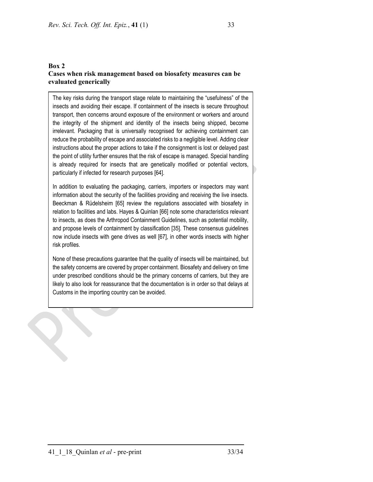### **Box 2 Cases when risk management based on biosafety measures can be evaluated generically**

The key risks during the transport stage relate to maintaining the "usefulness" of the insects and avoiding their escape. If containment of the insects is secure throughout transport, then concerns around exposure of the environment or workers and around the integrity of the shipment and identity of the insects being shipped, become irrelevant. Packaging that is universally recognised for achieving containment can reduce the probability of escape and associated risks to a negligible level. Adding clear instructions about the proper actions to take if the consignment is lost or delayed past the point of utility further ensures that the risk of escape is managed. Special handling is already required for insects that are genetically modified or potential vectors, particularly if infected for research purposes [64].

In addition to evaluating the packaging, carriers, importers or inspectors may want information about the security of the facilities providing and receiving the live insects. Beeckman & Rüdelsheim [65] review the regulations associated with biosafety in relation to facilities and labs. Hayes & Quinlan [66] note some characteristics relevant to insects, as does the Arthropod Containment Guidelines, such as potential mobility, and propose levels of containment by classification [35]. These consensus guidelines now include insects with gene drives as well [67], in other words insects with higher risk profiles.

None of these precautions guarantee that the quality of insects will be maintained, but the safety concerns are covered by proper containment. Biosafety and delivery on time under prescribed conditions should be the primary concerns of carriers, but they are likely to also look for reassurance that the documentation is in order so that delays at Customs in the importing country can be avoided.